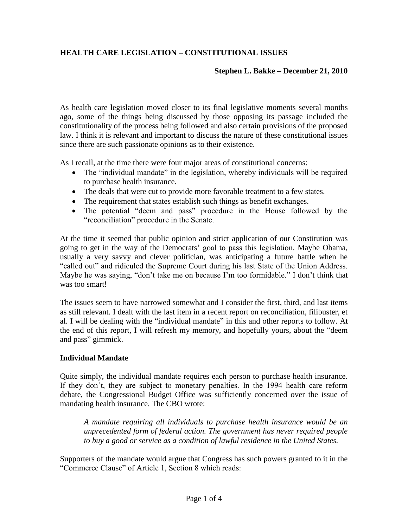# **HEALTH CARE LEGISLATION – CONSTITUTIONAL ISSUES**

### **Stephen L. Bakke – December 21, 2010**

As health care legislation moved closer to its final legislative moments several months ago, some of the things being discussed by those opposing its passage included the constitutionality of the process being followed and also certain provisions of the proposed law. I think it is relevant and important to discuss the nature of these constitutional issues since there are such passionate opinions as to their existence.

As I recall, at the time there were four major areas of constitutional concerns:

- The "individual mandate" in the legislation, whereby individuals will be required to purchase health insurance.
- The deals that were cut to provide more favorable treatment to a few states.
- The requirement that states establish such things as benefit exchanges.
- The potential "deem and pass" procedure in the House followed by the "reconciliation" procedure in the Senate.

At the time it seemed that public opinion and strict application of our Constitution was going to get in the way of the Democrats' goal to pass this legislation. Maybe Obama, usually a very savvy and clever politician, was anticipating a future battle when he "called out" and ridiculed the Supreme Court during his last State of the Union Address. Maybe he was saying, "don't take me on because I'm too formidable." I don't think that was too smart!

The issues seem to have narrowed somewhat and I consider the first, third, and last items as still relevant. I dealt with the last item in a recent report on reconciliation, filibuster, et al. I will be dealing with the "individual mandate" in this and other reports to follow. At the end of this report, I will refresh my memory, and hopefully yours, about the "deem and pass" gimmick.

### **Individual Mandate**

Quite simply, the individual mandate requires each person to purchase health insurance. If they don't, they are subject to monetary penalties. In the 1994 health care reform debate, the Congressional Budget Office was sufficiently concerned over the issue of mandating health insurance. The CBO wrote:

*A mandate requiring all individuals to purchase health insurance would be an unprecedented form of federal action. The government has never required people to buy a good or service as a condition of lawful residence in the United States.*

Supporters of the mandate would argue that Congress has such powers granted to it in the "Commerce Clause" of Article 1, Section 8 which reads: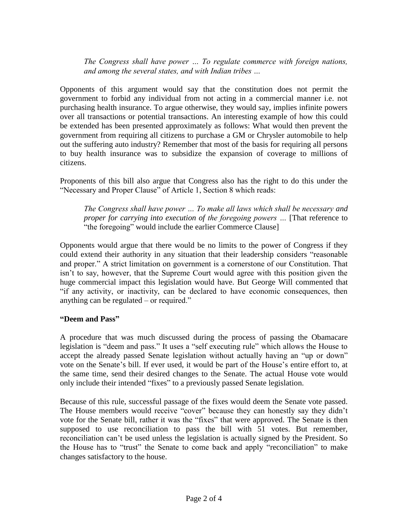*The Congress shall have power … To regulate commerce with foreign nations, and among the several states, and with Indian tribes …*

Opponents of this argument would say that the constitution does not permit the government to forbid any individual from not acting in a commercial manner i.e. not purchasing health insurance. To argue otherwise, they would say, implies infinite powers over all transactions or potential transactions. An interesting example of how this could be extended has been presented approximately as follows: What would then prevent the government from requiring all citizens to purchase a GM or Chrysler automobile to help out the suffering auto industry? Remember that most of the basis for requiring all persons to buy health insurance was to subsidize the expansion of coverage to millions of citizens.

Proponents of this bill also argue that Congress also has the right to do this under the "Necessary and Proper Clause" of Article 1, Section 8 which reads:

*The Congress shall have power … To make all laws which shall be necessary and proper for carrying into execution of the foregoing powers …* [That reference to "the foregoing" would include the earlier Commerce Clause]

Opponents would argue that there would be no limits to the power of Congress if they could extend their authority in any situation that their leadership considers "reasonable and proper." A strict limitation on government is a cornerstone of our Constitution. That isn't to say, however, that the Supreme Court would agree with this position given the huge commercial impact this legislation would have. But George Will commented that "if any activity, or inactivity, can be declared to have economic consequences, then anything can be regulated – or required."

## **"Deem and Pass"**

A procedure that was much discussed during the process of passing the Obamacare legislation is "deem and pass." It uses a "self executing rule" which allows the House to accept the already passed Senate legislation without actually having an "up or down" vote on the Senate's bill. If ever used, it would be part of the House's entire effort to, at the same time, send their desired changes to the Senate. The actual House vote would only include their intended "fixes" to a previously passed Senate legislation.

Because of this rule, successful passage of the fixes would deem the Senate vote passed. The House members would receive "cover" because they can honestly say they didn't vote for the Senate bill, rather it was the "fixes" that were approved. The Senate is then supposed to use reconciliation to pass the bill with 51 votes. But remember, reconciliation can't be used unless the legislation is actually signed by the President. So the House has to "trust" the Senate to come back and apply "reconciliation" to make changes satisfactory to the house.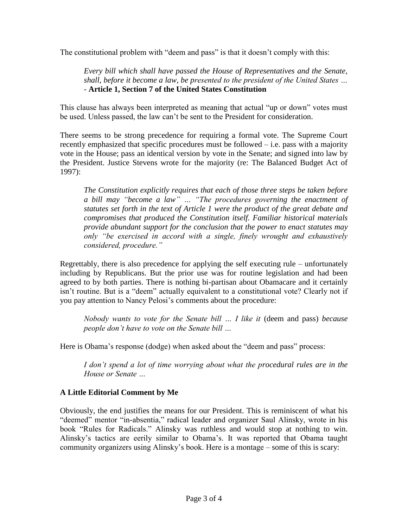The constitutional problem with "deem and pass" is that it doesn't comply with this:

*Every bill which shall have passed the House of Representatives and the Senate, shall, before it become a law, be presented to the president of the United States … -* **Article 1, Section 7 of the United States Constitution**

This clause has always been interpreted as meaning that actual "up or down" votes must be used. Unless passed, the law can't be sent to the President for consideration.

There seems to be strong precedence for requiring a formal vote. The Supreme Court recently emphasized that specific procedures must be followed – i.e. pass with a majority vote in the House; pass an identical version by vote in the Senate; and signed into law by the President. Justice Stevens wrote for the majority (re: The Balanced Budget Act of 1997):

*The Constitution explicitly requires that each of those three steps be taken before a bill may "become a law" … "The procedures governing the enactment of statutes set forth in the text of Article 1 were the product of the great debate and compromises that produced the Constitution itself. Familiar historical materials provide abundant support for the conclusion that the power to enact statutes may only "be exercised in accord with a single, finely wrought and exhaustively considered, procedure."*

Regrettably, there is also precedence for applying the self executing rule – unfortunately including by Republicans. But the prior use was for routine legislation and had been agreed to by both parties. There is nothing bi-partisan about Obamacare and it certainly isn't routine. But is a "deem" actually equivalent to a constitutional vote? Clearly not if you pay attention to Nancy Pelosi's comments about the procedure:

*Nobody wants to vote for the Senate bill … I like it* (deem and pass) *because people don't have to vote on the Senate bill …*

Here is Obama's response (dodge) when asked about the "deem and pass" process:

*I don't spend a lot of time worrying about what the procedural rules are in the House or Senate …*

# **A Little Editorial Comment by Me**

Obviously, the end justifies the means for our President. This is reminiscent of what his "deemed" mentor "in-absentia," radical leader and organizer Saul Alinsky, wrote in his book "Rules for Radicals." Alinsky was ruthless and would stop at nothing to win. Alinsky's tactics are eerily similar to Obama's. It was reported that Obama taught community organizers using Alinsky's book. Here is a montage – some of this is scary: